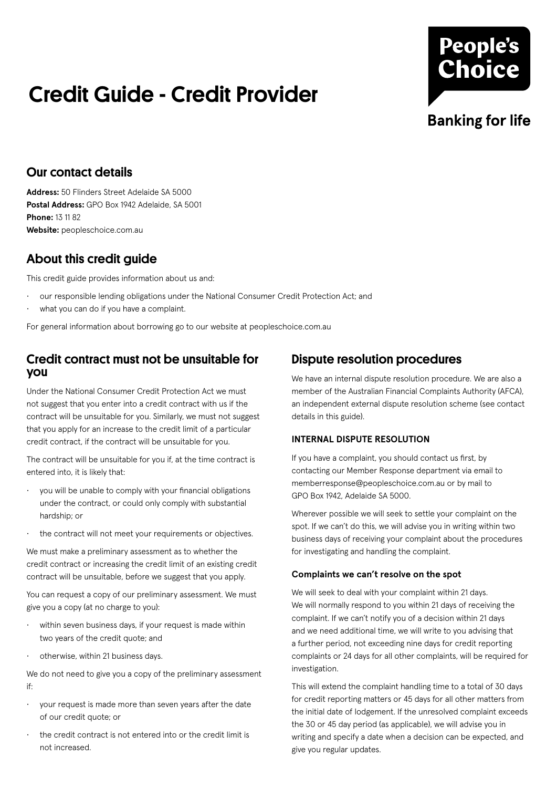## Credit Guide - Credit Provider

# **People's Choice Banking for life**

## Our contact details

**Address:** 50 Flinders Street Adelaide SA 5000 **Postal Address:** GPO Box 1942 Adelaide, SA 5001 **Phone:** 13 11 82 **Website:** peopleschoice.com.au

## About this credit guide

This credit guide provides information about us and:

- our responsible lending obligations under the National Consumer Credit Protection Act; and
- what you can do if you have a complaint.

For general information about borrowing go to our website at peopleschoice.com.au

### Credit contract must not be unsuitable for you

Under the National Consumer Credit Protection Act we must not suggest that you enter into a credit contract with us if the contract will be unsuitable for you. Similarly, we must not suggest that you apply for an increase to the credit limit of a particular credit contract, if the contract will be unsuitable for you.

The contract will be unsuitable for you if, at the time contract is entered into, it is likely that:

- you will be unable to comply with your financial obligations under the contract, or could only comply with substantial hardship; or
- the contract will not meet your requirements or objectives.

We must make a preliminary assessment as to whether the credit contract or increasing the credit limit of an existing credit contract will be unsuitable, before we suggest that you apply.

You can request a copy of our preliminary assessment. We must give you a copy (at no charge to you):

- within seven business days, if your request is made within two years of the credit quote; and
- otherwise, within 21 business days.

We do not need to give you a copy of the preliminary assessment if:

- your request is made more than seven years after the date of our credit quote; or
- the credit contract is not entered into or the credit limit is not increased.

## Dispute resolution procedures

We have an internal dispute resolution procedure. We are also a member of the Australian Financial Complaints Authority (AFCA), an independent external dispute resolution scheme (see contact details in this guide).

#### **INTERNAL DISPUTE RESOLUTION**

If you have a complaint, you should contact us first, by contacting our Member Response department via email to memberresponse@peopleschoice.com.au or by mail to GPO Box 1942, Adelaide SA 5000.

Wherever possible we will seek to settle your complaint on the spot. If we can't do this, we will advise you in writing within two business days of receiving your complaint about the procedures for investigating and handling the complaint.

#### **Complaints we can't resolve on the spot**

We will seek to deal with your complaint within 21 days. We will normally respond to you within 21 days of receiving the complaint. If we can't notify you of a decision within 21 days and we need additional time, we will write to you advising that a further period, not exceeding nine days for credit reporting complaints or 24 days for all other complaints, will be required for investigation.

This will extend the complaint handling time to a total of 30 days for credit reporting matters or 45 days for all other matters from the initial date of lodgement. If the unresolved complaint exceeds the 30 or 45 day period (as applicable), we will advise you in writing and specify a date when a decision can be expected, and give you regular updates.